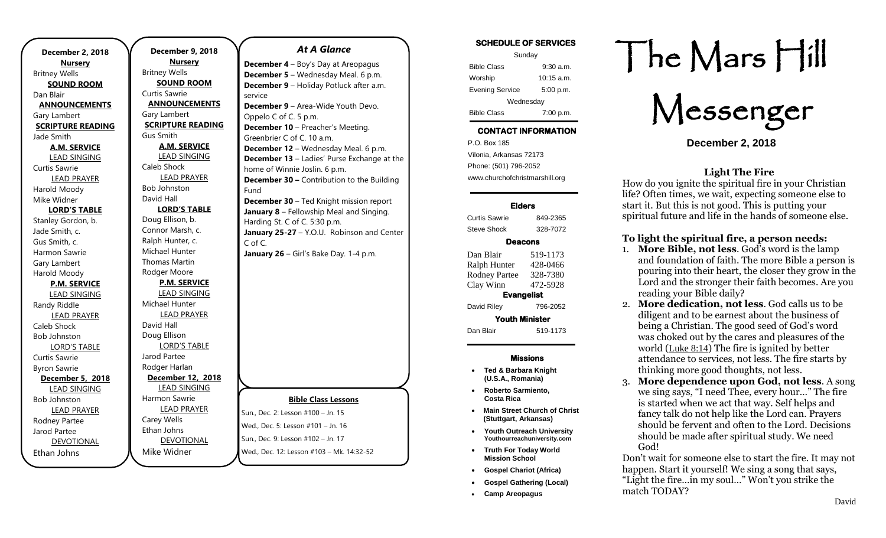| December 2, 2018         |  |  |
|--------------------------|--|--|
| <b>Nursery</b>           |  |  |
| <b>Britney Wells</b>     |  |  |
| <b>SOUND ROOM</b>        |  |  |
| Dan Blair                |  |  |
| <b>ANNOUNCEMENTS</b>     |  |  |
| Gary Lambert             |  |  |
| <b>SCRIPTURE READING</b> |  |  |
| Jade Smith               |  |  |
| <b>A.M. SERVICE</b>      |  |  |
| <b>LEAD SINGING</b>      |  |  |
| Curtis Sawrie            |  |  |
| <b>LEAD PRAYER</b>       |  |  |
| Harold Moody             |  |  |
| Mike Widner              |  |  |
| <b>LORD'S TABLE</b>      |  |  |
| Stanley Gordon, b.       |  |  |
| Jade Smith, c.           |  |  |
| Gus Smith, c.            |  |  |
| Harmon Sawrie            |  |  |
| Gary Lambert             |  |  |
| Harold Moody             |  |  |
| <b>P.M. SERVICE</b>      |  |  |
| <b>LEAD SINGING</b>      |  |  |
| Randy Riddle             |  |  |
| <b>LEAD PRAYER</b>       |  |  |
| Caleb Shock              |  |  |
| <b>Bob Johnston</b>      |  |  |
| <b>LORD'S TABLE</b>      |  |  |
| Curtis Sawrie            |  |  |
| <b>Byron Sawrie</b>      |  |  |
| December 5, 2018         |  |  |
| <b>LEAD SINGING</b>      |  |  |
| <b>Bob Johnston</b>      |  |  |
| <b>LEAD PRAYER</b>       |  |  |
| Rodney Partee            |  |  |
| Jarod Partee             |  |  |
| <b>DEVOTIONAL</b>        |  |  |
| Ethan Johns              |  |  |

**December 9, 2018 Nursery** Britney Wells **SOUND ROOM** Curtis Sawrie **ANNOUNCEMENTS** Gary Lambert **SCRIPTURE READING** Gus Smith **A.M. SERVICE** LEAD SINGING Caleb Shock LEAD PRAYER Bob Johnston David Hall **LORD'S TABLE** Doug Ellison, b. Connor Marsh, c. Ralph Hunter, c. Michael Hunter Thomas Martin Rodger Moore **P.M. SERVICE** LEAD SINGING Michael Hunter LEAD PRAYER David Hall Doug Ellison LORD'S TABLE Jarod Partee Rodger Harlan **December 12, 2018** LEAD SINGING Harmon Sawrie LEAD PRAYER Carey Wells Ethan Johns

Mike Widner

### *At A Glance*

**December 4** – Boy's Day at Areopagus **December 5** – Wednesday Meal. 6 p.m. **December 9** – Holiday Potluck after a.m. service **December 9** – Area-Wide Youth Devo.

Oppelo C of C. 5 p.m. **December 10** – Preacher's Meeting. Greenbrier C of C. 10 a.m. **December 12** – Wednesday Meal. 6 p.m. **December 13** – Ladies' Purse Exchange at the home of Winnie Joslin. 6 p.m. **December 30 –** Contribution to the Building Fund **December 30** – Ted Knight mission report **January 8** – Fellowship Meal and Singing.

Harding St. C of C. 5:30 p.m. **January 25-27** – Y.O.U. Robinson and Center C of C. **January 26** – Girl's Bake Day. 1-4 p.m.



### **SCHEDULE OF SERVICES**

| Sunday                 |              |  |
|------------------------|--------------|--|
| <b>Bible Class</b>     | $9:30$ a.m.  |  |
| Worship                | $10:15$ a.m. |  |
| <b>Evening Service</b> | 5:00 p.m.    |  |
| Wednesday              |              |  |
| <b>Bible Class</b>     | 7:00 p.m.    |  |

# **CONTACT INFORMATION**

. .o. Box 166<br>Vilonia, Arkansas 72173 P.O. Box 185 Phone: (501) 796-2052 www.churchofchristmarshill.org

### **Elders**

Curtis Sawrie 849-2365 Steve Shock 328-7072

### **Deacons**

Dan Blair 519-1173 Ralph Hunter 428-0466 Rodney Partee 328-7380 Clay Winn 472-5928 **Evangelist**  David Riley 796-2052 **Youth Minister**  Dan Blair 519-1173

### **Missions**

- **Ted & Barbara Knight (U.S.A., Romania)**
- **Roberto Sarmiento, Costa Rica**
- **Main Street Church of Christ (Stuttgart, Arkansas)**
- **Youth Outreach University Youthourreachuniversity.com**
- **Truth For Today World Mission School**
- **Gospel Chariot (Africa)**
- **Gospel Gathering (Local)**
- **Camp Areopagus**

# The Mars Hill

Messenger

**December 2, 2018**

### **Light The Fire**

How do you ignite the spiritual fire in your Christian life? Often times, we wait, expecting someone else to start it. But this is not good. This is putting your spiritual future and life in the hands of someone else.

### **To light the spiritual fire, a person needs:**

- 1. **More Bible, not less**. God's word is the lamp and foundation of faith. The more Bible a person is pouring into their heart, the closer they grow in the Lord and the stronger their faith becomes. Are you reading your Bible daily?
- 2. **More dedication, not less**. God calls us to be diligent and to be earnest about the business of being a Christian. The good seed of God's word was choked out by the cares and pleasures of the world ([Luke 8:14](http://biblia.com/bible/esv/Luke%208.14)) The fire is ignited by better attendance to services, not less. The fire starts by thinking more good thoughts, not less.
- 3. **More dependence upon God, not less**. A song we sing says, "I need Thee, every hour…" The fire is started when we act that way. Self helps and fancy talk do not help like the Lord can. Prayers should be fervent and often to the Lord. Decisions should be made after spiritual study. We need God!

Don't wait for someone else to start the fire. It may not happen. Start it yourself! We sing a song that says, "Light the fire…in my soul…" Won't you strike the match TODAY?